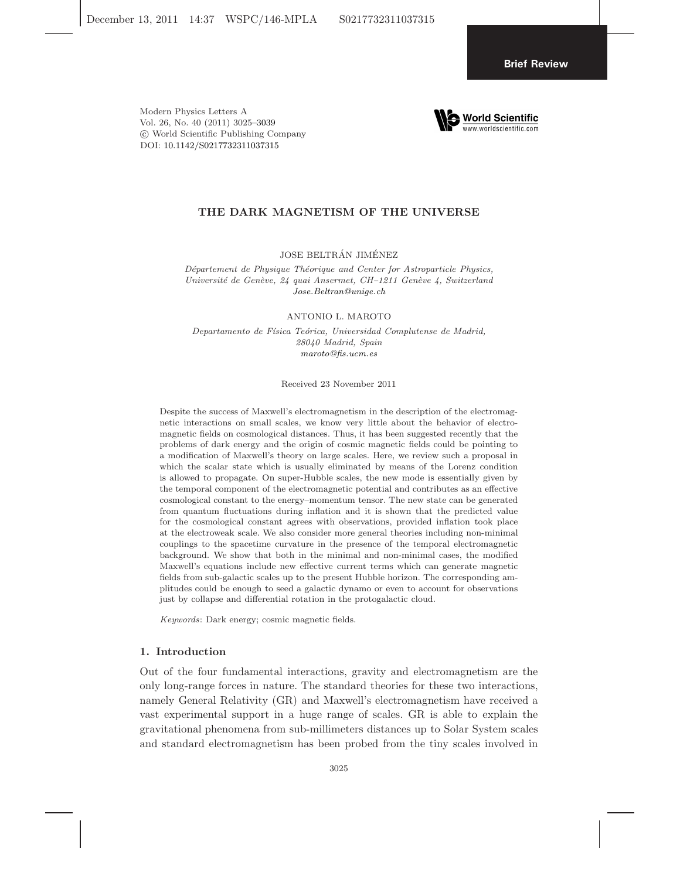



# THE DARK MAGNETISM OF THE UNIVERSE

JOSE BELTRÁN JIMÉNEZ

Département de Physique Théorique and Center for Astroparticle Physics, Université de Genève, 24 quai Ansermet, CH-1211 Genève 4, Switzerland [Jose.Beltran@unige.ch](mailto:Jose.Beltran@unige.ch)

ANTONIO L. MAROTO

Departamento de Física Teórica, Universidad Complutense de Madrid, 28040 Madrid, Spain [maroto@fis.ucm.es](mailto:maroto@fis.ucm.es)

Received 23 November 2011

Despite the success of Maxwell's electromagnetism in the description of the electromagnetic interactions on small scales, we know very little about the behavior of electromagnetic fields on cosmological distances. Thus, it has been suggested recently that the problems of dark energy and the origin of cosmic magnetic fields could be pointing to a modification of Maxwell's theory on large scales. Here, we review such a proposal in which the scalar state which is usually eliminated by means of the Lorenz condition is allowed to propagate. On super-Hubble scales, the new mode is essentially given by the temporal component of the electromagnetic potential and contributes as an effective cosmological constant to the energy–momentum tensor. The new state can be generated from quantum fluctuations during inflation and it is shown that the predicted value for the cosmological constant agrees with observations, provided inflation took place at the electroweak scale. We also consider more general theories including non-minimal couplings to the spacetime curvature in the presence of the temporal electromagnetic background. We show that both in the minimal and non-minimal cases, the modified Maxwell's equations include new effective current terms which can generate magnetic fields from sub-galactic scales up to the present Hubble horizon. The corresponding amplitudes could be enough to seed a galactic dynamo or even to account for observations just by collapse and differential rotation in the protogalactic cloud.

Keywords: Dark energy; cosmic magnetic fields.

# 1. Introduction

Out of the four fundamental interactions, gravity and electromagnetism are the only long-range forces in nature. The standard theories for these two interactions, namely General Relativity (GR) and Maxwell's electromagnetism have received a vast experimental support in a huge range of scales. GR is able to explain the gravitational phenomena from sub-millimeters distances up to Solar System scales and standard electromagnetism has been probed from the tiny scales involved in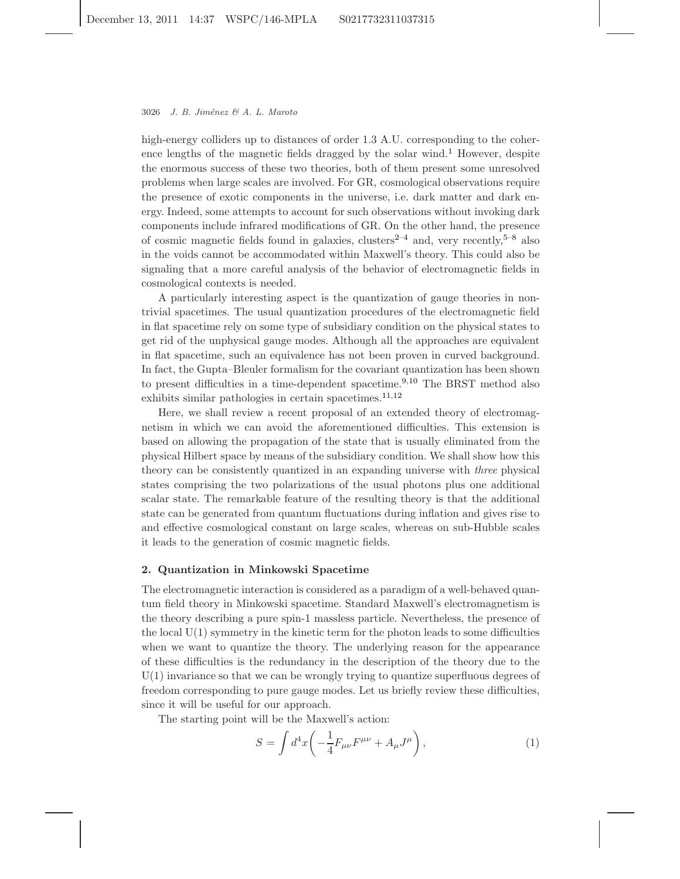high-energy colliders up to distances of order 1.3 A.U. corresponding to the coherence lengths of the magnetic fields dragged by the solar wind.<sup>1</sup> However, despite the enormous success of these two theories, both of them present some unresolved problems when large scales are involved. For GR, cosmological observations require the presence of exotic components in the universe, i.e. dark matter and dark energy. Indeed, some attempts to account for such observations without invoking dark components include infrared modifications of GR. On the other hand, the presence of cosmic magnetic fields found in galaxies, clusters<sup>2-4</sup> and, very recently,<sup>5-8</sup> also in the voids cannot be accommodated within Maxwell's theory. This could also be signaling that a more careful analysis of the behavior of electromagnetic fields in cosmological contexts is needed.

A particularly interesting aspect is the quantization of gauge theories in nontrivial spacetimes. The usual quantization procedures of the electromagnetic field in flat spacetime rely on some type of subsidiary condition on the physical states to get rid of the unphysical gauge modes. Although all the approaches are equivalent in flat spacetime, such an equivalence has not been proven in curved background. In fact, the Gupta–Bleuler formalism for the covariant quantization has been shown to present difficulties in a time-dependent spacetime.<sup>9,10</sup> The BRST method also exhibits similar pathologies in certain spacetimes. $11,12$ 

Here, we shall review a recent proposal of an extended theory of electromagnetism in which we can avoid the aforementioned difficulties. This extension is based on allowing the propagation of the state that is usually eliminated from the physical Hilbert space by means of the subsidiary condition. We shall show how this theory can be consistently quantized in an expanding universe with three physical states comprising the two polarizations of the usual photons plus one additional scalar state. The remarkable feature of the resulting theory is that the additional state can be generated from quantum fluctuations during inflation and gives rise to and effective cosmological constant on large scales, whereas on sub-Hubble scales it leads to the generation of cosmic magnetic fields.

#### 2. Quantization in Minkowski Spacetime

The electromagnetic interaction is considered as a paradigm of a well-behaved quantum field theory in Minkowski spacetime. Standard Maxwell's electromagnetism is the theory describing a pure spin-1 massless particle. Nevertheless, the presence of the local  $U(1)$  symmetry in the kinetic term for the photon leads to some difficulties when we want to quantize the theory. The underlying reason for the appearance of these difficulties is the redundancy in the description of the theory due to the  $U(1)$  invariance so that we can be wrongly trying to quantize superfluous degrees of freedom corresponding to pure gauge modes. Let us briefly review these difficulties, since it will be useful for our approach.

The starting point will be the Maxwell's action:

$$
S = \int d^4x \left( -\frac{1}{4} F_{\mu\nu} F^{\mu\nu} + A_{\mu} J^{\mu} \right), \qquad (1)
$$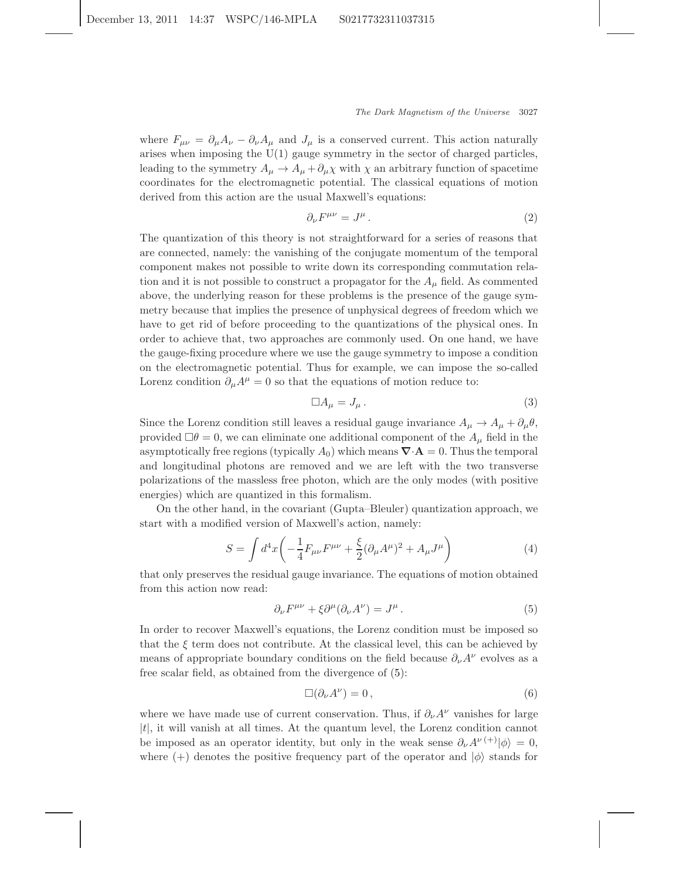where  $F_{\mu\nu} = \partial_{\mu}A_{\nu} - \partial_{\nu}A_{\mu}$  and  $J_{\mu}$  is a conserved current. This action naturally arises when imposing the  $U(1)$  gauge symmetry in the sector of charged particles, leading to the symmetry  $A_{\mu} \to A_{\mu} + \partial_{\mu} \chi$  with  $\chi$  an arbitrary function of spacetime coordinates for the electromagnetic potential. The classical equations of motion derived from this action are the usual Maxwell's equations:

$$
\partial_{\nu}F^{\mu\nu} = J^{\mu} \,. \tag{2}
$$

The quantization of this theory is not straightforward for a series of reasons that are connected, namely: the vanishing of the conjugate momentum of the temporal component makes not possible to write down its corresponding commutation relation and it is not possible to construct a propagator for the  $A_\mu$  field. As commented above, the underlying reason for these problems is the presence of the gauge symmetry because that implies the presence of unphysical degrees of freedom which we have to get rid of before proceeding to the quantizations of the physical ones. In order to achieve that, two approaches are commonly used. On one hand, we have the gauge-fixing procedure where we use the gauge symmetry to impose a condition on the electromagnetic potential. Thus for example, we can impose the so-called Lorenz condition  $\partial_{\mu}A^{\mu} = 0$  so that the equations of motion reduce to:

$$
\Box A_{\mu} = J_{\mu} \,. \tag{3}
$$

Since the Lorenz condition still leaves a residual gauge invariance  $A_{\mu} \to A_{\mu} + \partial_{\mu} \theta$ , provided  $\Box \theta = 0$ , we can eliminate one additional component of the  $A_{\mu}$  field in the asymptotically free regions (typically  $A_0$ ) which means  $\nabla \cdot \mathbf{A} = 0$ . Thus the temporal and longitudinal photons are removed and we are left with the two transverse polarizations of the massless free photon, which are the only modes (with positive energies) which are quantized in this formalism.

On the other hand, in the covariant (Gupta–Bleuler) quantization approach, we start with a modified version of Maxwell's action, namely:

$$
S = \int d^4x \left( -\frac{1}{4} F_{\mu\nu} F^{\mu\nu} + \frac{\xi}{2} (\partial_\mu A^\mu)^2 + A_\mu J^\mu \right) \tag{4}
$$

that only preserves the residual gauge invariance. The equations of motion obtained from this action now read:

$$
\partial_{\nu}F^{\mu\nu} + \xi \partial^{\mu}(\partial_{\nu}A^{\nu}) = J^{\mu}.
$$
\n(5)

In order to recover Maxwell's equations, the Lorenz condition must be imposed so that the  $\xi$  term does not contribute. At the classical level, this can be achieved by means of appropriate boundary conditions on the field because  $\partial_{\nu}A^{\nu}$  evolves as a free scalar field, as obtained from the divergence of (5):

$$
\Box(\partial_{\nu}A^{\nu})=0\,,\tag{6}
$$

where we have made use of current conservation. Thus, if  $\partial_{\nu}A^{\nu}$  vanishes for large  $|t|$ , it will vanish at all times. At the quantum level, the Lorenz condition cannot be imposed as an operator identity, but only in the weak sense  $\partial_{\nu}A^{\nu}(+)|\phi\rangle = 0$ , where (+) denotes the positive frequency part of the operator and  $|\phi\rangle$  stands for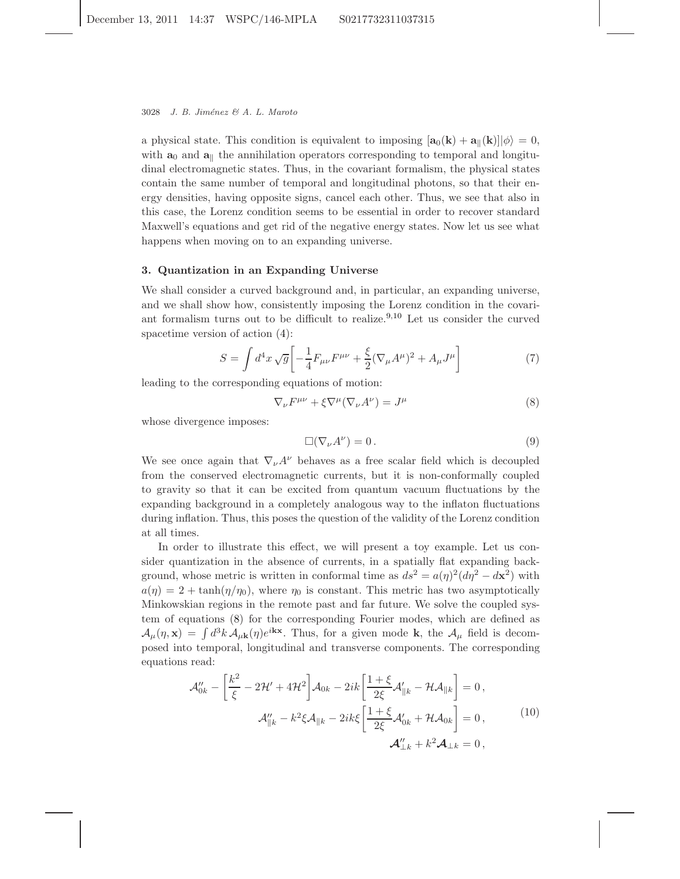a physical state. This condition is equivalent to imposing  $[\mathbf{a}_0(\mathbf{k}) + \mathbf{a}_{\parallel}(\mathbf{k})]|\phi\rangle = 0$ , with  $a_0$  and  $a_{\parallel}$  the annihilation operators corresponding to temporal and longitudinal electromagnetic states. Thus, in the covariant formalism, the physical states contain the same number of temporal and longitudinal photons, so that their energy densities, having opposite signs, cancel each other. Thus, we see that also in this case, the Lorenz condition seems to be essential in order to recover standard Maxwell's equations and get rid of the negative energy states. Now let us see what happens when moving on to an expanding universe.

### 3. Quantization in an Expanding Universe

We shall consider a curved background and, in particular, an expanding universe, and we shall show how, consistently imposing the Lorenz condition in the covariant formalism turns out to be difficult to realize.<sup>9,10</sup> Let us consider the curved spacetime version of action (4):

$$
S = \int d^4x \sqrt{g} \left[ -\frac{1}{4} F_{\mu\nu} F^{\mu\nu} + \frac{\xi}{2} (\nabla_{\mu} A^{\mu})^2 + A_{\mu} J^{\mu} \right]
$$
(7)

leading to the corresponding equations of motion:

$$
\nabla_{\nu} F^{\mu\nu} + \xi \nabla^{\mu} (\nabla_{\nu} A^{\nu}) = J^{\mu} \tag{8}
$$

whose divergence imposes:

$$
\Box(\nabla_{\nu}A^{\nu})=0.
$$
\n(9)

We see once again that  $\nabla_{\nu}A^{\nu}$  behaves as a free scalar field which is decoupled from the conserved electromagnetic currents, but it is non-conformally coupled to gravity so that it can be excited from quantum vacuum fluctuations by the expanding background in a completely analogous way to the inflaton fluctuations during inflation. Thus, this poses the question of the validity of the Lorenz condition at all times.

In order to illustrate this effect, we will present a toy example. Let us consider quantization in the absence of currents, in a spatially flat expanding background, whose metric is written in conformal time as  $ds^2 = a(\eta)^2 (d\eta^2 - d\mathbf{x}^2)$  with  $a(\eta) = 2 + \tanh(\eta/\eta_0)$ , where  $\eta_0$  is constant. This metric has two asymptotically Minkowskian regions in the remote past and far future. We solve the coupled system of equations (8) for the corresponding Fourier modes, which are defined as  $\mathcal{A}_{\mu}(\eta,\mathbf{x}) = \int d^3k \,\mathcal{A}_{\mu\mathbf{k}}(\eta)e^{i\mathbf{k}\mathbf{x}}$ . Thus, for a given mode **k**, the  $\mathcal{A}_{\mu}$  field is decomposed into temporal, longitudinal and transverse components. The corresponding equations read:

$$
\mathcal{A}_{0k}^{"'} - \left[\frac{k^2}{\xi} - 2\mathcal{H}^{\prime} + 4\mathcal{H}^2\right] \mathcal{A}_{0k} - 2ik \left[\frac{1+\xi}{2\xi} \mathcal{A}_{\parallel k}^{\prime} - \mathcal{H}\mathcal{A}_{\parallel k}\right] = 0,
$$
  

$$
\mathcal{A}_{\parallel k}^{"'} - k^2 \xi \mathcal{A}_{\parallel k} - 2ik \xi \left[\frac{1+\xi}{2\xi} \mathcal{A}_{0k}^{\prime} + \mathcal{H}\mathcal{A}_{0k}\right] = 0,
$$
  

$$
\mathcal{A}_{\perp k}^{"'} + k^2 \mathcal{A}_{\perp k} = 0,
$$
  

$$
(10)
$$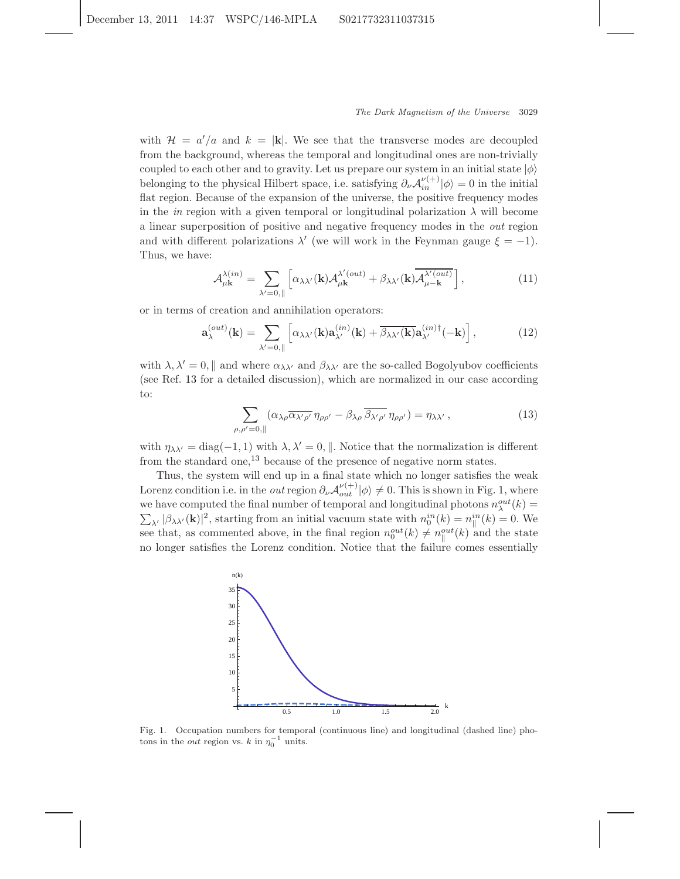with  $\mathcal{H} = a'/a$  and  $k = |\mathbf{k}|$ . We see that the transverse modes are decoupled from the background, whereas the temporal and longitudinal ones are non-trivially coupled to each other and to gravity. Let us prepare our system in an initial state  $|\phi\rangle$ belonging to the physical Hilbert space, i.e. satisfying  $\partial_{\nu} \mathcal{A}_{in}^{\nu(+)}|\phi\rangle = 0$  in the initial flat region. Because of the expansion of the universe, the positive frequency modes in the *in* region with a given temporal or longitudinal polarization  $\lambda$  will become a linear superposition of positive and negative frequency modes in the out region and with different polarizations  $\lambda'$  (we will work in the Feynman gauge  $\xi = -1$ ). Thus, we have:

$$
\mathcal{A}_{\mu\mathbf{k}}^{\lambda(in)} = \sum_{\lambda'=0,\parallel} \left[ \alpha_{\lambda\lambda'}(\mathbf{k}) \mathcal{A}_{\mu\mathbf{k}}^{\lambda'(out)} + \beta_{\lambda\lambda'}(\mathbf{k}) \overline{\mathcal{A}_{\mu-\mathbf{k}}^{\lambda'(out)}} \right],\tag{11}
$$

or in terms of creation and annihilation operators:

$$
\mathbf{a}_{\lambda}^{(out)}(\mathbf{k}) = \sum_{\lambda'=0,\parallel} \left[ \alpha_{\lambda\lambda'}(\mathbf{k}) \mathbf{a}_{\lambda'}^{(in)}(\mathbf{k}) + \overline{\beta_{\lambda\lambda'}(\mathbf{k})} \mathbf{a}_{\lambda'}^{(in)\dagger}(-\mathbf{k}) \right],\tag{12}
$$

with  $\lambda, \lambda' = 0$ , and where  $\alpha_{\lambda\lambda'}$  and  $\beta_{\lambda\lambda'}$  are the so-called Bogolyubov coefficients (see Ref. 13 for a detailed discussion), which are normalized in our case according to:

$$
\sum_{\rho,\rho'=0,\parallel} (\alpha_{\lambda\rho} \overline{\alpha_{\lambda'\rho'}} \eta_{\rho\rho'} - \beta_{\lambda\rho} \overline{\beta_{\lambda'\rho'}} \eta_{\rho\rho'}) = \eta_{\lambda\lambda'}, \qquad (13)
$$

with  $\eta_{\lambda\lambda'} = \text{diag}(-1, 1)$  with  $\lambda, \lambda' = 0$ , ||. Notice that the normalization is different from the standard one,<sup>13</sup> because of the presence of negative norm states.

Thus, the system will end up in a final state which no longer satisfies the weak Lorenz condition i.e. in the *out* region  $\partial_{\nu} \mathcal{A}_{out}^{\nu(+)} |\phi\rangle \neq 0$ . This is shown in Fig. 1, where we have computed the final number of temporal and longitudinal photons  $n_{\lambda}^{out}(k)$  =  $\sum_{\lambda'} |\beta_{\lambda\lambda'}(\mathbf{k})|^2$ , starting from an initial vacuum state with  $n_0^{in}(k) = n_{\parallel}^{in}(k) = 0$ . We see that, as commented above, in the final region  $n_0^{out}(k) \neq n_{\parallel}^{out}(k)$  $\int_{\parallel}^{out}(k)$  and the state no longer satisfies the Lorenz condition. Notice that the failure comes essentially



Fig. 1. Occupation numbers for temporal (continuous line) and longitudinal (dashed line) photons in the *out* region vs. k in  $\eta_0^{-1}$  units.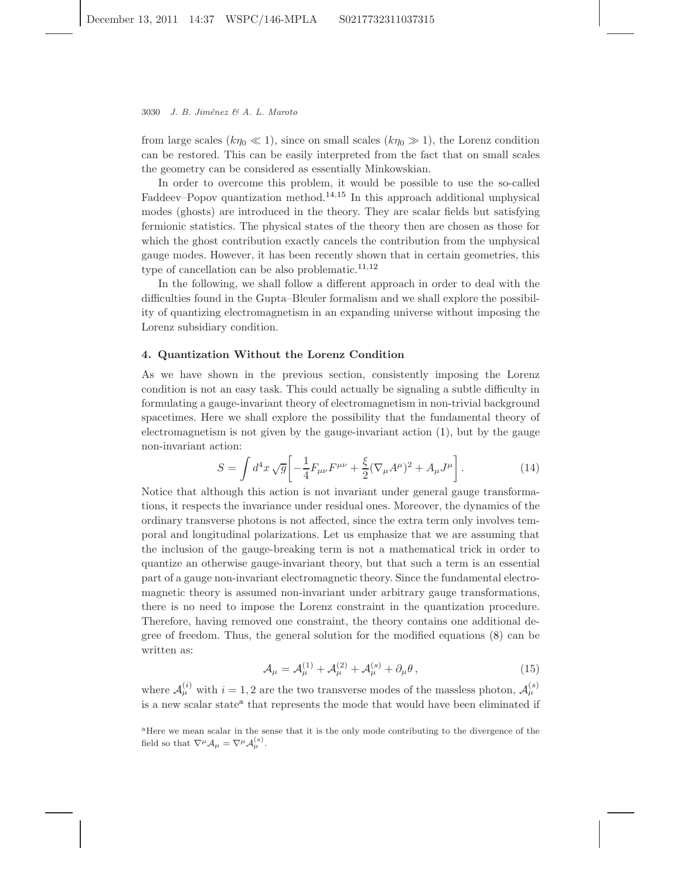from large scales ( $k\eta_0 \ll 1$ ), since on small scales ( $k\eta_0 \gg 1$ ), the Lorenz condition can be restored. This can be easily interpreted from the fact that on small scales the geometry can be considered as essentially Minkowskian.

In order to overcome this problem, it would be possible to use the so-called Faddeev–Popov quantization method.<sup>14,15</sup> In this approach additional unphysical modes (ghosts) are introduced in the theory. They are scalar fields but satisfying fermionic statistics. The physical states of the theory then are chosen as those for which the ghost contribution exactly cancels the contribution from the unphysical gauge modes. However, it has been recently shown that in certain geometries, this type of cancellation can be also problematic. $11,12$ 

In the following, we shall follow a different approach in order to deal with the difficulties found in the Gupta–Bleuler formalism and we shall explore the possibility of quantizing electromagnetism in an expanding universe without imposing the Lorenz subsidiary condition.

# 4. Quantization Without the Lorenz Condition

As we have shown in the previous section, consistently imposing the Lorenz condition is not an easy task. This could actually be signaling a subtle difficulty in formulating a gauge-invariant theory of electromagnetism in non-trivial background spacetimes. Here we shall explore the possibility that the fundamental theory of electromagnetism is not given by the gauge-invariant action (1), but by the gauge non-invariant action:

$$
S = \int d^4x \sqrt{g} \left[ -\frac{1}{4} F_{\mu\nu} F^{\mu\nu} + \frac{\xi}{2} (\nabla_{\mu} A^{\mu})^2 + A_{\mu} J^{\mu} \right]. \tag{14}
$$

Notice that although this action is not invariant under general gauge transformations, it respects the invariance under residual ones. Moreover, the dynamics of the ordinary transverse photons is not affected, since the extra term only involves temporal and longitudinal polarizations. Let us emphasize that we are assuming that the inclusion of the gauge-breaking term is not a mathematical trick in order to quantize an otherwise gauge-invariant theory, but that such a term is an essential part of a gauge non-invariant electromagnetic theory. Since the fundamental electromagnetic theory is assumed non-invariant under arbitrary gauge transformations, there is no need to impose the Lorenz constraint in the quantization procedure. Therefore, having removed one constraint, the theory contains one additional degree of freedom. Thus, the general solution for the modified equations (8) can be written as:

$$
\mathcal{A}_{\mu} = \mathcal{A}_{\mu}^{(1)} + \mathcal{A}_{\mu}^{(2)} + \mathcal{A}_{\mu}^{(s)} + \partial_{\mu}\theta\,,\tag{15}
$$

where  $\mathcal{A}_{\mu}^{(i)}$  with  $i = 1, 2$  are the two transverse modes of the massless photon,  $\mathcal{A}_{\mu}^{(s)}$ is a new scalar state<sup>a</sup> that represents the mode that would have been eliminated if

<sup>a</sup>Here we mean scalar in the sense that it is the only mode contributing to the divergence of the field so that  $\nabla^{\mu} A_{\mu} = \nabla^{\mu} A_{\mu}^{(s)}$ .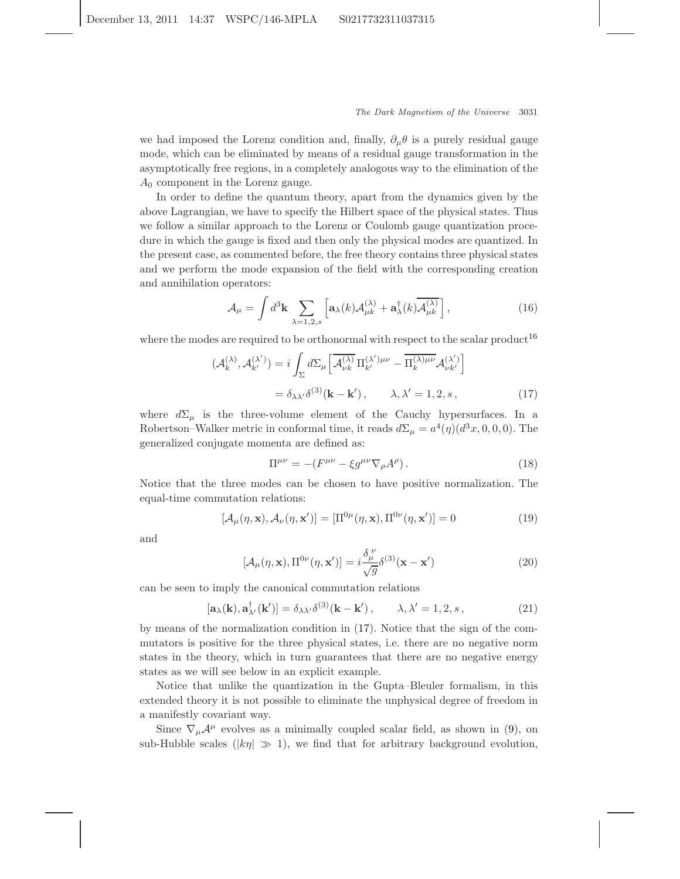we had imposed the Lorenz condition and, finally,  $\partial_{\mu}\theta$  is a purely residual gauge mode, which can be eliminated by means of a residual gauge transformation in the asymptotically free regions, in a completely analogous way to the elimination of the  $A_0$  component in the Lorenz gauge.

In order to define the quantum theory, apart from the dynamics given by the above Lagrangian, we have to specify the Hilbert space of the physical states. Thus we follow a similar approach to the Lorenz or Coulomb gauge quantization procedure in which the gauge is fixed and then only the physical modes are quantized. In the present case, as commented before, the free theory contains three physical states and we perform the mode expansion of the field with the corresponding creation and annihilation operators:

$$
\mathcal{A}_{\mu} = \int d^3 \mathbf{k} \sum_{\lambda=1,2,s} \left[ \mathbf{a}_{\lambda}(k) \mathcal{A}_{\mu k}^{(\lambda)} + \mathbf{a}_{\lambda}^{\dagger}(k) \overline{\mathcal{A}_{\mu k}^{(\lambda)}} \right],
$$
 (16)

where the modes are required to be orthonormal with respect to the scalar product<sup>16</sup>

$$
(\mathcal{A}_k^{(\lambda)}, \mathcal{A}_{k'}^{(\lambda')}) = i \int_{\Sigma} d\Sigma_{\mu} \left[ \overline{\mathcal{A}_{\nu k}^{(\lambda)}} \Pi_{k'}^{(\lambda')\mu\nu} - \overline{\Pi_{k}^{(\lambda)\mu\nu}} \mathcal{A}_{\nu k'}^{(\lambda')} \right]
$$

$$
= \delta_{\lambda \lambda'} \delta^{(3)} (\mathbf{k} - \mathbf{k}'), \qquad \lambda, \lambda' = 1, 2, s,
$$
 (17)

where  $d\Sigma_{\mu}$  is the three-volume element of the Cauchy hypersurfaces. In a Robertson–Walker metric in conformal time, it reads  $d\Sigma_{\mu} = a^4(\eta)(d^3x, 0, 0, 0)$ . The generalized conjugate momenta are defined as:

$$
\Pi^{\mu\nu} = -(F^{\mu\nu} - \xi g^{\mu\nu} \nabla_{\rho} A^{\rho}). \tag{18}
$$

Notice that the three modes can be chosen to have positive normalization. The equal-time commutation relations:

$$
[\mathcal{A}_{\mu}(\eta, \mathbf{x}), \mathcal{A}_{\nu}(\eta, \mathbf{x}')] = [\Pi^{0\mu}(\eta, \mathbf{x}), \Pi^{0\nu}(\eta, \mathbf{x}')] = 0 \tag{19}
$$

and

$$
[\mathcal{A}_{\mu}(\eta, \mathbf{x}), \Pi^{0\nu}(\eta, \mathbf{x}')] = i \frac{\delta^{\nu}_{\mu}}{\sqrt{g}} \delta^{(3)}(\mathbf{x} - \mathbf{x}') \tag{20}
$$

can be seen to imply the canonical commutation relations

$$
[\mathbf{a}_{\lambda}(\mathbf{k}), \mathbf{a}^{\dagger}_{\lambda'}(\mathbf{k}')] = \delta_{\lambda\lambda'}\delta^{(3)}(\mathbf{k} - \mathbf{k}'), \qquad \lambda, \lambda' = 1, 2, s,
$$
 (21)

by means of the normalization condition in (17). Notice that the sign of the commutators is positive for the three physical states, i.e. there are no negative norm states in the theory, which in turn guarantees that there are no negative energy states as we will see below in an explicit example.

Notice that unlike the quantization in the Gupta–Bleuler formalism, in this extended theory it is not possible to eliminate the unphysical degree of freedom in a manifestly covariant way.

Since  $\nabla_{\mu}A^{\mu}$  evolves as a minimally coupled scalar field, as shown in (9), on sub-Hubble scales ( $|k\eta| \gg 1$ ), we find that for arbitrary background evolution,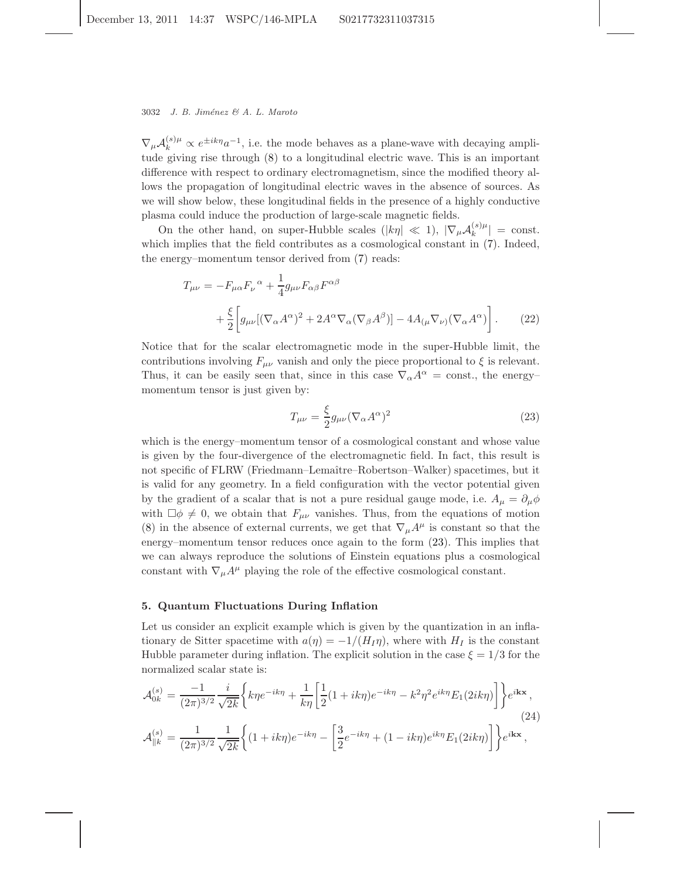#### 3032 J. B. Jiménez & A. L. Maroto

 $\nabla_{\mu} \mathcal{A}_k^{(s)\mu} \propto e^{\pm i k \eta} a^{-1}$ , i.e. the mode behaves as a plane-wave with decaying amplitude giving rise through (8) to a longitudinal electric wave. This is an important difference with respect to ordinary electromagnetism, since the modified theory allows the propagation of longitudinal electric waves in the absence of sources. As we will show below, these longitudinal fields in the presence of a highly conductive plasma could induce the production of large-scale magnetic fields.

On the other hand, on super-Hubble scales ( $|k\eta| \ll 1$ ),  $|\nabla_{\mu} \mathcal{A}_k^{(s)\mu}|$  $\left| \frac{e^{s/\mu}}{k} \right| = \text{const.}$ which implies that the field contributes as a cosmological constant in  $(7)$ . Indeed, the energy–momentum tensor derived from (7) reads:

$$
T_{\mu\nu} = -F_{\mu\alpha}F_{\nu}^{\ \alpha} + \frac{1}{4}g_{\mu\nu}F_{\alpha\beta}F^{\alpha\beta} + \frac{\xi}{2}\left[g_{\mu\nu}[(\nabla_{\alpha}A^{\alpha})^2 + 2A^{\alpha}\nabla_{\alpha}(\nabla_{\beta}A^{\beta})] - 4A_{(\mu}\nabla_{\nu)}(\nabla_{\alpha}A^{\alpha})\right].
$$
 (22)

Notice that for the scalar electromagnetic mode in the super-Hubble limit, the contributions involving  $F_{\mu\nu}$  vanish and only the piece proportional to  $\xi$  is relevant. Thus, it can be easily seen that, since in this case  $\nabla_{\alpha} A^{\alpha} = \text{const.}$ , the energymomentum tensor is just given by:

$$
T_{\mu\nu} = \frac{\xi}{2} g_{\mu\nu} (\nabla_{\alpha} A^{\alpha})^2
$$
 (23)

which is the energy–momentum tensor of a cosmological constant and whose value is given by the four-divergence of the electromagnetic field. In fact, this result is not specific of FLRW (Friedmann–Lemaître–Robertson–Walker) spacetimes, but it is valid for any geometry. In a field configuration with the vector potential given by the gradient of a scalar that is not a pure residual gauge mode, i.e.  $A_{\mu} = \partial_{\mu} \phi$ with  $\Box \phi \neq 0$ , we obtain that  $F_{\mu\nu}$  vanishes. Thus, from the equations of motion (8) in the absence of external currents, we get that  $\nabla_{\mu}A^{\mu}$  is constant so that the energy–momentum tensor reduces once again to the form (23). This implies that we can always reproduce the solutions of Einstein equations plus a cosmological constant with  $\nabla_{\mu}A^{\mu}$  playing the role of the effective cosmological constant.

#### 5. Quantum Fluctuations During Inflation

Let us consider an explicit example which is given by the quantization in an inflationary de Sitter spacetime with  $a(\eta) = -1/(H_I \eta)$ , where with  $H_I$  is the constant Hubble parameter during inflation. The explicit solution in the case  $\xi = 1/3$  for the normalized scalar state is:

$$
\mathcal{A}_{0k}^{(s)} = \frac{-1}{(2\pi)^{3/2}} \frac{i}{\sqrt{2k}} \left\{ k\eta e^{-ik\eta} + \frac{1}{k\eta} \left[ \frac{1}{2} (1+ik\eta) e^{-ik\eta} - k^2 \eta^2 e^{ik\eta} E_1(2ik\eta) \right] \right\} e^{i\mathbf{kx}},
$$
\n
$$
\mathcal{A}_{\parallel k}^{(s)} = \frac{1}{(2\pi)^{3/2}} \frac{1}{\sqrt{2k}} \left\{ (1+ik\eta) e^{-ik\eta} - \left[ \frac{3}{2} e^{-ik\eta} + (1-ik\eta) e^{ik\eta} E_1(2ik\eta) \right] \right\} e^{i\mathbf{kx}},
$$
\n(24)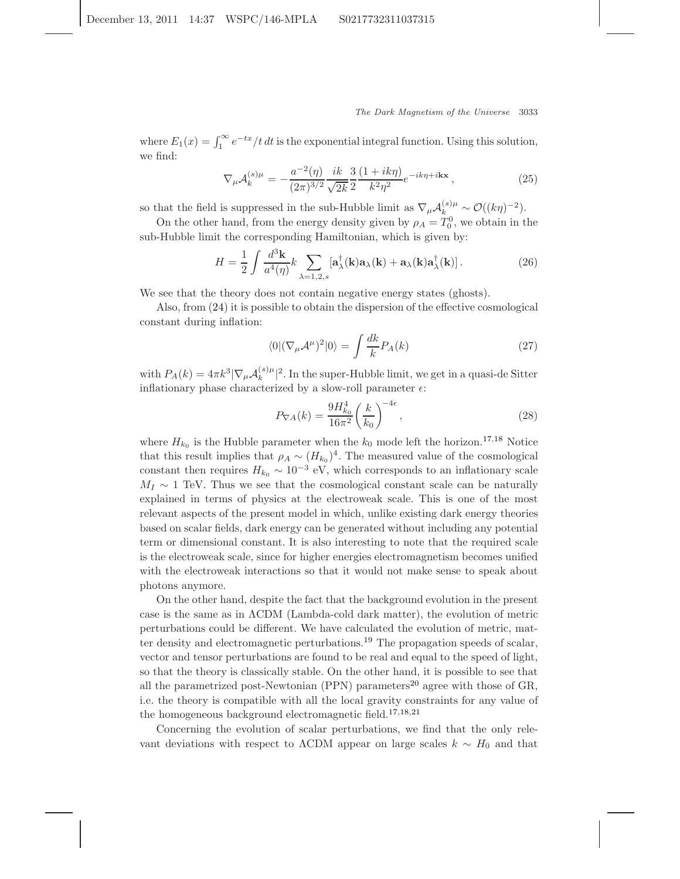where  $E_1(x) = \int_1^{\infty} e^{-tx}/t \, dt$  is the exponential integral function. Using this solution, we find:

$$
\nabla_{\mu} \mathcal{A}_{k}^{(s)\mu} = -\frac{a^{-2}(\eta)}{(2\pi)^{3/2}} \frac{ik}{\sqrt{2k}} \frac{3}{2} \frac{(1+ik\eta)}{k^2 \eta^2} e^{-ik\eta + i\mathbf{kx}}, \qquad (25)
$$

so that the field is suppressed in the sub-Hubble limit as  $\nabla_{\mu} \mathcal{A}_{k}^{(s)\mu} \sim \mathcal{O}((k\eta)^{-2}).$ 

On the other hand, from the energy density given by  $\rho_A = T_0^0$ , we obtain in the sub-Hubble limit the corresponding Hamiltonian, which is given by:

$$
H = \frac{1}{2} \int \frac{d^3 \mathbf{k}}{a^4(\eta)} k \sum_{\lambda=1,2,s} [\mathbf{a}_{\lambda}^{\dagger}(\mathbf{k}) \mathbf{a}_{\lambda}(\mathbf{k}) + \mathbf{a}_{\lambda}(\mathbf{k}) \mathbf{a}_{\lambda}^{\dagger}(\mathbf{k})]. \tag{26}
$$

We see that the theory does not contain negative energy states (ghosts).

Also, from (24) it is possible to obtain the dispersion of the effective cosmological constant during inflation:

$$
\langle 0 | (\nabla_{\mu} \mathcal{A}^{\mu})^2 | 0 \rangle = \int \frac{dk}{k} P_A(k) \tag{27}
$$

with  $P_A(k) = 4\pi k^3 |\nabla_\mu \mathcal{A}_k^{(s)}|$  $\int_k^{(s)\mu}$ <sup>2</sup>. In the super-Hubble limit, we get in a quasi-de Sitter inflationary phase characterized by a slow-roll parameter  $\epsilon$ :

$$
P_{\nabla A}(k) = \frac{9H_{k_0}^4}{16\pi^2} \left(\frac{k}{k_0}\right)^{-4\epsilon},
$$
\n(28)

where  $H_{k_0}$  is the Hubble parameter when the  $k_0$  mode left the horizon.<sup>17,18</sup> Notice that this result implies that  $\rho_A \sim (H_{k_0})^4$ . The measured value of the cosmological constant then requires  $H_{k_0} \sim 10^{-3}$  eV, which corresponds to an inflationary scale  $M_I \sim 1$  TeV. Thus we see that the cosmological constant scale can be naturally explained in terms of physics at the electroweak scale. This is one of the most relevant aspects of the present model in which, unlike existing dark energy theories based on scalar fields, dark energy can be generated without including any potential term or dimensional constant. It is also interesting to note that the required scale is the electroweak scale, since for higher energies electromagnetism becomes unified with the electroweak interactions so that it would not make sense to speak about photons anymore.

On the other hand, despite the fact that the background evolution in the present case is the same as in ΛCDM (Lambda-cold dark matter), the evolution of metric perturbations could be different. We have calculated the evolution of metric, matter density and electromagnetic perturbations.<sup>19</sup> The propagation speeds of scalar, vector and tensor perturbations are found to be real and equal to the speed of light, so that the theory is classically stable. On the other hand, it is possible to see that all the parametrized post-Newtonian (PPN) parameters<sup>20</sup> agree with those of GR, i.e. the theory is compatible with all the local gravity constraints for any value of the homogeneous background electromagnetic field.17,18,21

Concerning the evolution of scalar perturbations, we find that the only relevant deviations with respect to  $\Lambda$ CDM appear on large scales  $k \sim H_0$  and that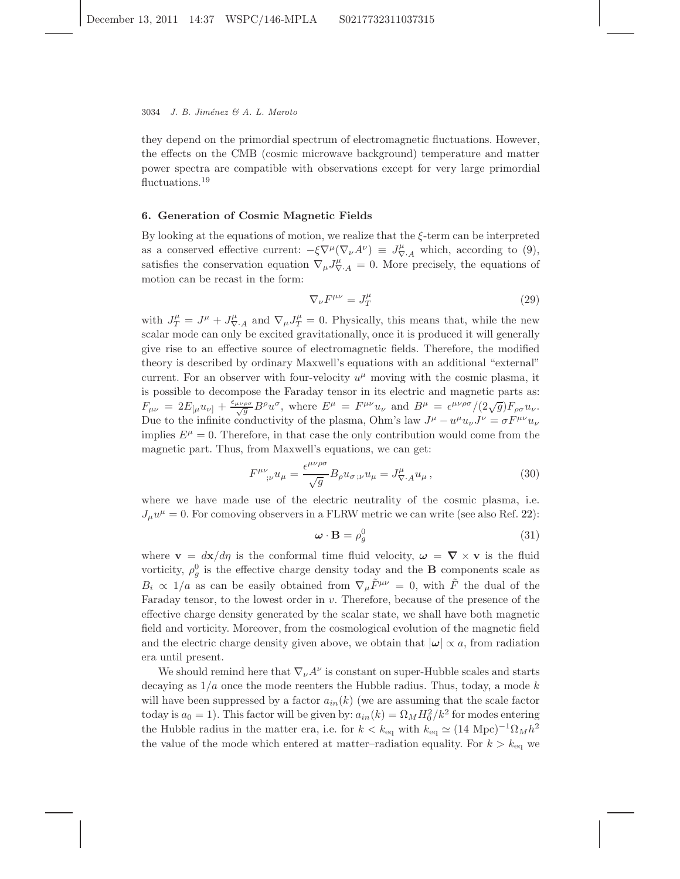they depend on the primordial spectrum of electromagnetic fluctuations. However, the effects on the CMB (cosmic microwave background) temperature and matter power spectra are compatible with observations except for very large primordial fluctuations.<sup>19</sup>

### 6. Generation of Cosmic Magnetic Fields

By looking at the equations of motion, we realize that the  $\xi$ -term can be interpreted as a conserved effective current:  $-\xi \nabla^{\mu}(\nabla_{\nu}A^{\nu}) \equiv J_{\nabla \cdot A}^{\mu}$  which, according to (9), satisfies the conservation equation  $\nabla_{\mu} J^{\mu}_{\nabla A} = 0$ . More precisely, the equations of motion can be recast in the form:

$$
\nabla_{\nu}F^{\mu\nu} = J_T^{\mu} \tag{29}
$$

with  $J_T^{\mu} = J^{\mu} + J_{\nabla \cdot A}^{\mu}$  and  $\nabla_{\mu} J_T^{\mu} = 0$ . Physically, this means that, while the new scalar mode can only be excited gravitationally, once it is produced it will generally give rise to an effective source of electromagnetic fields. Therefore, the modified theory is described by ordinary Maxwell's equations with an additional "external" current. For an observer with four-velocity  $u^{\mu}$  moving with the cosmic plasma, it is possible to decompose the Faraday tensor in its electric and magnetic parts as:  $F_{\mu\nu} = 2E_{\mu\nu}u_{\nu} + \frac{\epsilon_{\mu\nu\rho\sigma}}{\sqrt{g}}B^{\rho}u^{\sigma}$ , where  $E^{\mu} = F^{\mu\nu}u_{\nu}$  and  $B^{\mu} = \epsilon^{\mu\nu\rho\sigma}/(2\sqrt{g})F_{\rho\sigma}u_{\nu}$ . Due to the infinite conductivity of the plasma, Ohm's law  $J^{\mu} - u^{\mu} u_{\nu} J^{\nu} = \sigma F^{\mu\nu} u_{\nu}$ implies  $E^{\mu} = 0$ . Therefore, in that case the only contribution would come from the magnetic part. Thus, from Maxwell's equations, we can get:

$$
F^{\mu\nu}_{\quad;\nu}u_{\mu} = \frac{\epsilon^{\mu\nu\rho\sigma}}{\sqrt{g}}B_{\rho}u_{\sigma\;\nu}u_{\mu} = J^{\mu}_{\nabla\cdot A}u_{\mu}\,,\tag{30}
$$

where we have made use of the electric neutrality of the cosmic plasma, i.e.  $J_{\mu}u^{\mu} = 0$ . For comoving observers in a FLRW metric we can write (see also Ref. 22):

$$
\mathbf{\omega} \cdot \mathbf{B} = \rho_g^0 \tag{31}
$$

where  $\mathbf{v} = d\mathbf{x}/d\eta$  is the conformal time fluid velocity,  $\boldsymbol{\omega} = \nabla \times \mathbf{v}$  is the fluid vorticity,  $\rho_g^0$  is the effective charge density today and the **B** components scale as  $B_i \propto 1/a$  as can be easily obtained from  $\nabla_\mu \tilde{F}^{\mu\nu} = 0$ , with  $\tilde{F}$  the dual of the Faraday tensor, to the lowest order in  $v$ . Therefore, because of the presence of the effective charge density generated by the scalar state, we shall have both magnetic field and vorticity. Moreover, from the cosmological evolution of the magnetic field and the electric charge density given above, we obtain that  $|\omega| \propto a$ , from radiation era until present.

We should remind here that  $\nabla_{\nu} A^{\nu}$  is constant on super-Hubble scales and starts decaying as  $1/a$  once the mode reenters the Hubble radius. Thus, today, a mode k will have been suppressed by a factor  $a_{in}(k)$  (we are assuming that the scale factor today is  $a_0 = 1$ ). This factor will be given by:  $a_{in}(k) = \Omega_M H_0^2 / k^2$  for modes entering the Hubble radius in the matter era, i.e. for  $k < k_{\text{eq}}$  with  $k_{\text{eq}} \simeq (14 \text{ Mpc})^{-1} \Omega_M h^2$ the value of the mode which entered at matter-radiation equality. For  $k > k_{\text{eq}}$  we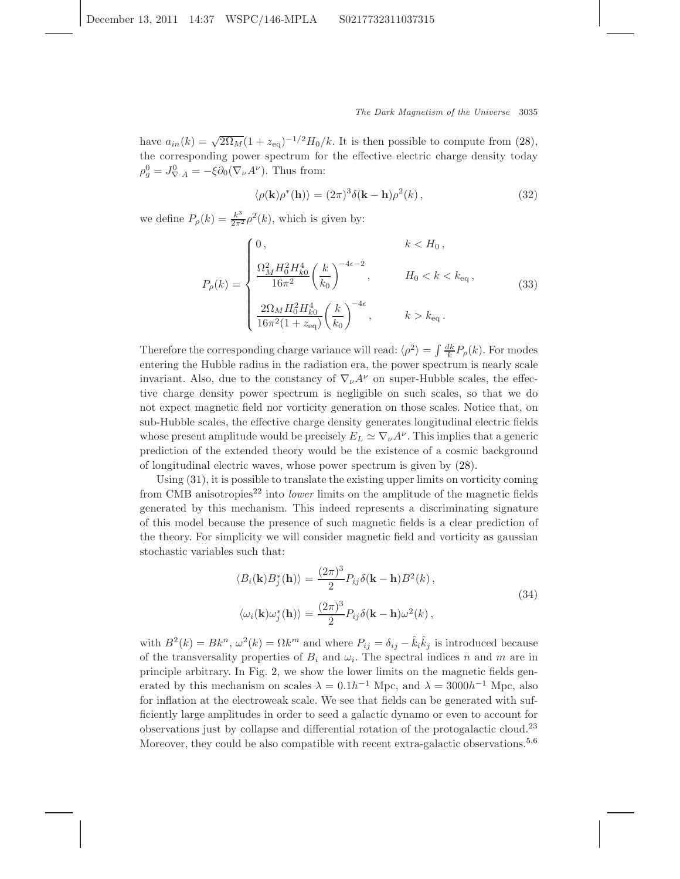have  $a_{in}(k) = \sqrt{2\Omega_M}(1 + z_{eq})^{-1/2}H_0/k$ . It is then possible to compute from (28), the corresponding power spectrum for the effective electric charge density today  $\rho_g^0 = J_{\nabla \cdot A}^0 = -\xi \partial_0 (\nabla_\nu A^\nu)$ . Thus from:

$$
\langle \rho(\mathbf{k}) \rho^*(\mathbf{h}) \rangle = (2\pi)^3 \delta(\mathbf{k} - \mathbf{h}) \rho^2(k) , \qquad (32)
$$

we define  $P_{\rho}(k) = \frac{k^3}{2\pi^2} \rho^2(k)$ , which is given by:

$$
P_{\rho}(k) = \begin{cases} 0, & k < H_0, \\ \frac{\Omega_M^2 H_0^2 H_{k0}^4}{16\pi^2} \left(\frac{k}{k_0}\right)^{-4\epsilon - 2}, & H_0 < k < k_{\text{eq}}, \\ \frac{2\Omega_M H_0^2 H_{k0}^4}{16\pi^2 (1 + z_{\text{eq}})} \left(\frac{k}{k_0}\right)^{-4\epsilon}, & k > k_{\text{eq}}. \end{cases}
$$
(33)

Therefore the corresponding charge variance will read:  $\langle \rho^2 \rangle = \int \frac{dk}{k} P_{\rho}(k)$ . For modes entering the Hubble radius in the radiation era, the power spectrum is nearly scale invariant. Also, due to the constancy of  $\nabla_{\nu}A^{\nu}$  on super-Hubble scales, the effective charge density power spectrum is negligible on such scales, so that we do not expect magnetic field nor vorticity generation on those scales. Notice that, on sub-Hubble scales, the effective charge density generates longitudinal electric fields whose present amplitude would be precisely  $E_L \simeq \nabla_{\nu} A^{\nu}$ . This implies that a generic prediction of the extended theory would be the existence of a cosmic background of longitudinal electric waves, whose power spectrum is given by (28).

Using (31), it is possible to translate the existing upper limits on vorticity coming from CMB anisotropies<sup>22</sup> into *lower* limits on the amplitude of the magnetic fields generated by this mechanism. This indeed represents a discriminating signature of this model because the presence of such magnetic fields is a clear prediction of the theory. For simplicity we will consider magnetic field and vorticity as gaussian stochastic variables such that:

$$
\langle B_i(\mathbf{k})B_j^*(\mathbf{h})\rangle = \frac{(2\pi)^3}{2}P_{ij}\delta(\mathbf{k}-\mathbf{h})B^2(k),
$$
  

$$
\langle \omega_i(\mathbf{k})\omega_j^*(\mathbf{h})\rangle = \frac{(2\pi)^3}{2}P_{ij}\delta(\mathbf{k}-\mathbf{h})\omega^2(k),
$$
 (34)

with  $B^2(k) = Bk^n$ ,  $\omega^2(k) = \Omega k^m$  and where  $P_{ij} = \delta_{ij} - \hat{k}_i \hat{k}_j$  is introduced because of the transversality properties of  $B_i$  and  $\omega_i$ . The spectral indices n and m are in principle arbitrary. In Fig. 2, we show the lower limits on the magnetic fields generated by this mechanism on scales  $\lambda = 0.1h^{-1}$  Mpc, and  $\lambda = 3000h^{-1}$  Mpc, also for inflation at the electroweak scale. We see that fields can be generated with sufficiently large amplitudes in order to seed a galactic dynamo or even to account for observations just by collapse and differential rotation of the protogalactic cloud.<sup>23</sup> Moreover, they could be also compatible with recent extra-galactic observations.<sup>5,6</sup>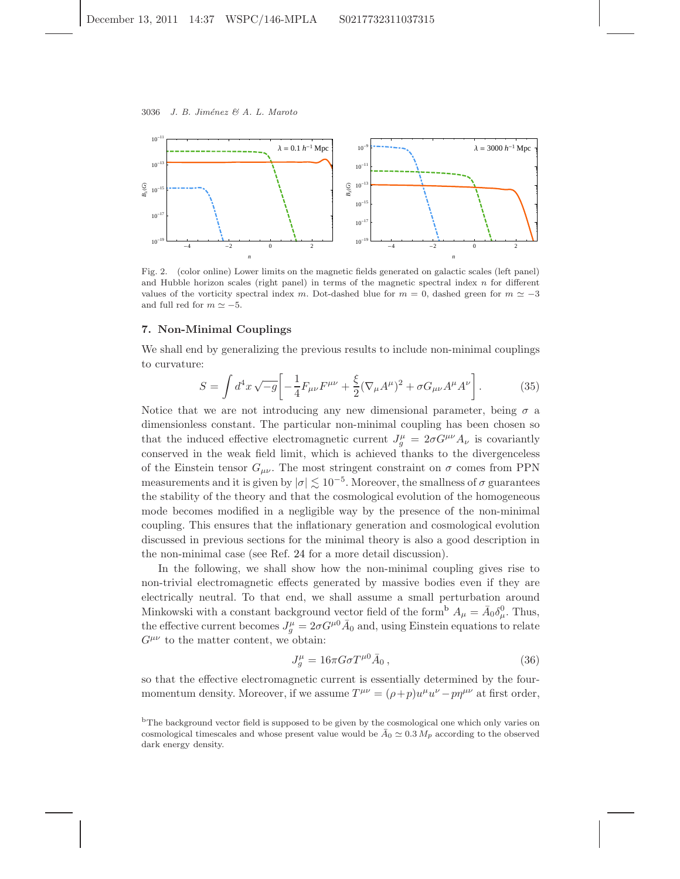

Fig. 2. (color online) Lower limits on the magnetic fields generated on galactic scales (left panel) and Hubble horizon scales (right panel) in terms of the magnetic spectral index  $n$  for different values of the vorticity spectral index m. Dot-dashed blue for  $m = 0$ , dashed green for  $m \simeq -3$ and full red for  $m \simeq -5$ .

#### 7. Non-Minimal Couplings

We shall end by generalizing the previous results to include non-minimal couplings to curvature:

$$
S = \int d^4x \sqrt{-g} \left[ -\frac{1}{4} F_{\mu\nu} F^{\mu\nu} + \frac{\xi}{2} (\nabla_{\mu} A^{\mu})^2 + \sigma G_{\mu\nu} A^{\mu} A^{\nu} \right]. \tag{35}
$$

Notice that we are not introducing any new dimensional parameter, being  $\sigma$  a dimensionless constant. The particular non-minimal coupling has been chosen so that the induced effective electromagnetic current  $J_g^{\mu} = 2\sigma G^{\mu\nu} A_{\nu}$  is covariantly conserved in the weak field limit, which is achieved thanks to the divergenceless of the Einstein tensor  $G_{\mu\nu}$ . The most stringent constraint on  $\sigma$  comes from PPN measurements and it is given by  $|\sigma| \lesssim 10^{-5}$ . Moreover, the smallness of  $\sigma$  guarantees the stability of the theory and that the cosmological evolution of the homogeneous mode becomes modified in a negligible way by the presence of the non-minimal coupling. This ensures that the inflationary generation and cosmological evolution discussed in previous sections for the minimal theory is also a good description in the non-minimal case (see Ref. 24 for a more detail discussion).

In the following, we shall show how the non-minimal coupling gives rise to non-trivial electromagnetic effects generated by massive bodies even if they are electrically neutral. To that end, we shall assume a small perturbation around Minkowski with a constant background vector field of the form<sup>b</sup>  $A_{\mu} = \bar{A}_0 \delta_{\mu}^0$ . Thus, the effective current becomes  $J_g^{\mu} = 2\sigma G^{\mu 0} \bar{A}_0$  and, using Einstein equations to relate  $G^{\mu\nu}$  to the matter content, we obtain:

$$
J_g^{\mu} = 16\pi G\sigma T^{\mu 0} \bar{A}_0 ,\qquad (36)
$$

so that the effective electromagnetic current is essentially determined by the fourmomentum density. Moreover, if we assume  $T^{\mu\nu} = (\rho + p)u^{\mu}u^{\nu} - p\eta^{\mu\nu}$  at first order,

<sup>&</sup>lt;sup>b</sup>The background vector field is supposed to be given by the cosmological one which only varies on cosmological timescales and whose present value would be  $\bar{A}_0 \simeq 0.3 M_p$  according to the observed dark energy density.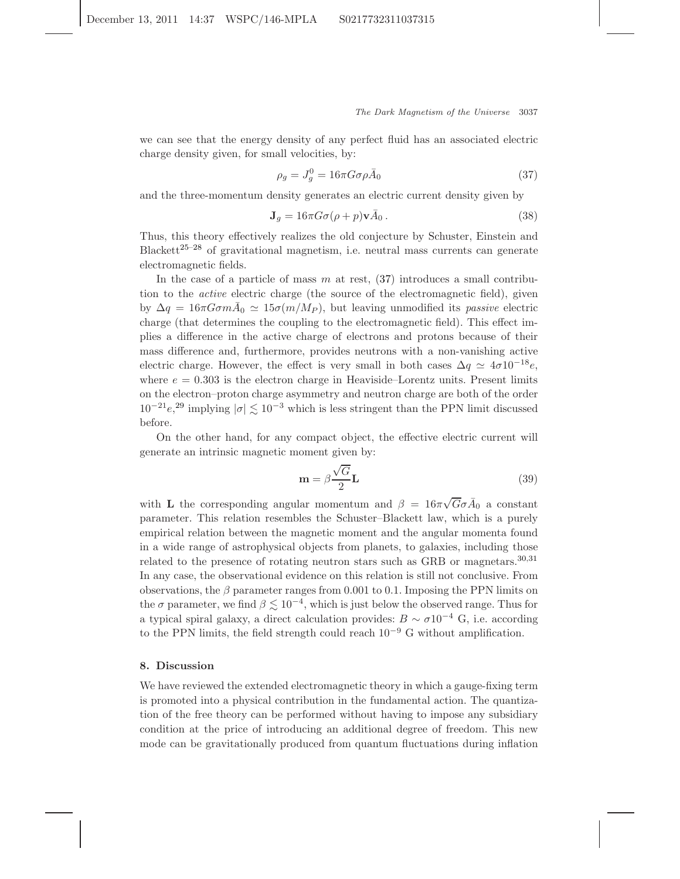we can see that the energy density of any perfect fluid has an associated electric charge density given, for small velocities, by:

$$
\rho_g = J_g^0 = 16\pi G \sigma \rho \bar{A}_0 \tag{37}
$$

and the three-momentum density generates an electric current density given by

$$
\mathbf{J}_g = 16\pi G\sigma(\rho + p)\mathbf{v}\bar{A}_0. \tag{38}
$$

Thus, this theory effectively realizes the old conjecture by Schuster, Einstein and Blackett<sup>25–28</sup> of gravitational magnetism, i.e. neutral mass currents can generate electromagnetic fields.

In the case of a particle of mass  $m$  at rest,  $(37)$  introduces a small contribution to the active electric charge (the source of the electromagnetic field), given by  $\Delta q = 16\pi G \sigma m \bar{A}_0 \simeq 15 \sigma (m/M_P)$ , but leaving unmodified its passive electric charge (that determines the coupling to the electromagnetic field). This effect implies a difference in the active charge of electrons and protons because of their mass difference and, furthermore, provides neutrons with a non-vanishing active electric charge. However, the effect is very small in both cases  $\Delta q \simeq 4\sigma 10^{-18}e$ , where  $e = 0.303$  is the electron charge in Heaviside–Lorentz units. Present limits on the electron–proton charge asymmetry and neutron charge are both of the order  $10^{-21}e^{29}$  implying  $|\sigma| \lesssim 10^{-3}$  which is less stringent than the PPN limit discussed before.

On the other hand, for any compact object, the effective electric current will generate an intrinsic magnetic moment given by:

$$
\mathbf{m} = \beta \frac{\sqrt{G}}{2} \mathbf{L} \tag{39}
$$

with **L** the corresponding angular momentum and  $\beta = 16\pi\sqrt{G}\sigma\bar{A}_0$  a constant parameter. This relation resembles the Schuster–Blackett law, which is a purely empirical relation between the magnetic moment and the angular momenta found in a wide range of astrophysical objects from planets, to galaxies, including those related to the presence of rotating neutron stars such as GRB or magnetars.<sup>30,31</sup> In any case, the observational evidence on this relation is still not conclusive. From observations, the  $\beta$  parameter ranges from 0.001 to 0.1. Imposing the PPN limits on the  $\sigma$  parameter, we find  $\beta \lesssim 10^{-4}$ , which is just below the observed range. Thus for a typical spiral galaxy, a direct calculation provides:  $B \sim \sigma 10^{-4}$  G, i.e. according to the PPN limits, the field strength could reach  $10^{-9}$  G without amplification.

#### 8. Discussion

We have reviewed the extended electromagnetic theory in which a gauge-fixing term is promoted into a physical contribution in the fundamental action. The quantization of the free theory can be performed without having to impose any subsidiary condition at the price of introducing an additional degree of freedom. This new mode can be gravitationally produced from quantum fluctuations during inflation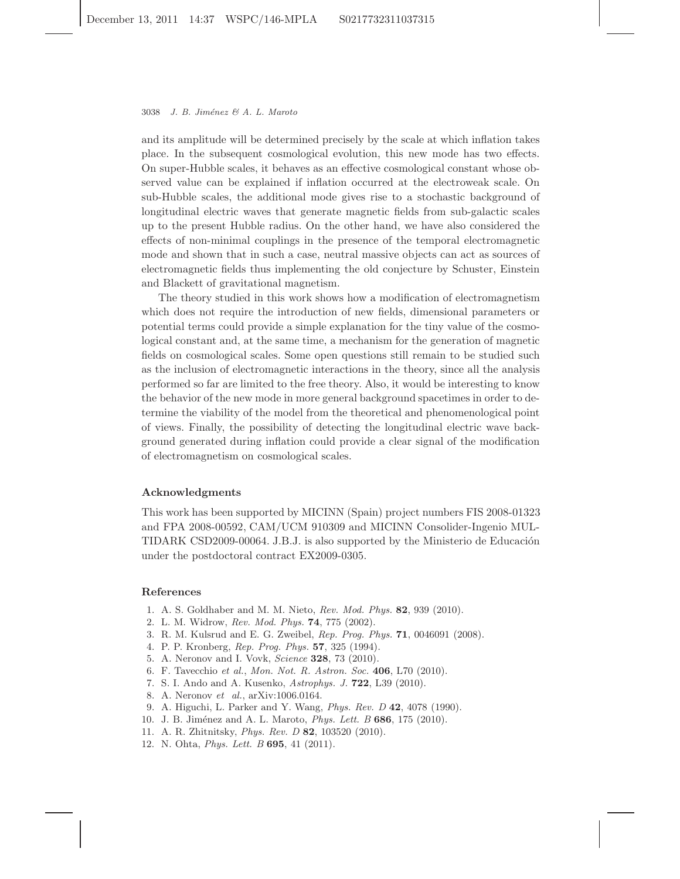and its amplitude will be determined precisely by the scale at which inflation takes place. In the subsequent cosmological evolution, this new mode has two effects. On super-Hubble scales, it behaves as an effective cosmological constant whose observed value can be explained if inflation occurred at the electroweak scale. On sub-Hubble scales, the additional mode gives rise to a stochastic background of longitudinal electric waves that generate magnetic fields from sub-galactic scales up to the present Hubble radius. On the other hand, we have also considered the effects of non-minimal couplings in the presence of the temporal electromagnetic mode and shown that in such a case, neutral massive objects can act as sources of electromagnetic fields thus implementing the old conjecture by Schuster, Einstein and Blackett of gravitational magnetism.

The theory studied in this work shows how a modification of electromagnetism which does not require the introduction of new fields, dimensional parameters or potential terms could provide a simple explanation for the tiny value of the cosmological constant and, at the same time, a mechanism for the generation of magnetic fields on cosmological scales. Some open questions still remain to be studied such as the inclusion of electromagnetic interactions in the theory, since all the analysis performed so far are limited to the free theory. Also, it would be interesting to know the behavior of the new mode in more general background spacetimes in order to determine the viability of the model from the theoretical and phenomenological point of views. Finally, the possibility of detecting the longitudinal electric wave background generated during inflation could provide a clear signal of the modification of electromagnetism on cosmological scales.

# Acknowledgments

This work has been supported by MICINN (Spain) project numbers FIS 2008-01323 and FPA 2008-00592, CAM/UCM 910309 and MICINN Consolider-Ingenio MUL-TIDARK CSD2009-00064. J.B.J. is also supported by the Ministerio de Educación under the postdoctoral contract EX2009-0305.

# References

- 1. A. S. Goldhaber and M. M. Nieto, Rev. Mod. Phys. 82, 939 (2010).
- 2. L. M. Widrow, Rev. Mod. Phys. 74, 775 (2002).
- 3. R. M. Kulsrud and E. G. Zweibel, Rep. Prog. Phys. 71, 0046091 (2008).
- 4. P. P. Kronberg, Rep. Prog. Phys. 57, 325 (1994).
- 5. A. Neronov and I. Vovk, Science 328, 73 (2010).
- 6. F. Tavecchio et al., Mon. Not. R. Astron. Soc. 406, L70 (2010).
- 7. S. I. Ando and A. Kusenko, Astrophys. J. 722, L39 (2010).
- 8. A. Neronov et al., arXiv:1006.0164.
- 9. A. Higuchi, L. Parker and Y. Wang, Phys. Rev. D 42, 4078 (1990).
- 10. J. B. Jiménez and A. L. Maroto, *Phys. Lett. B* 686, 175 (2010).
- 11. A. R. Zhitnitsky, Phys. Rev. D 82, 103520 (2010).
- 12. N. Ohta, Phys. Lett. B 695, 41 (2011).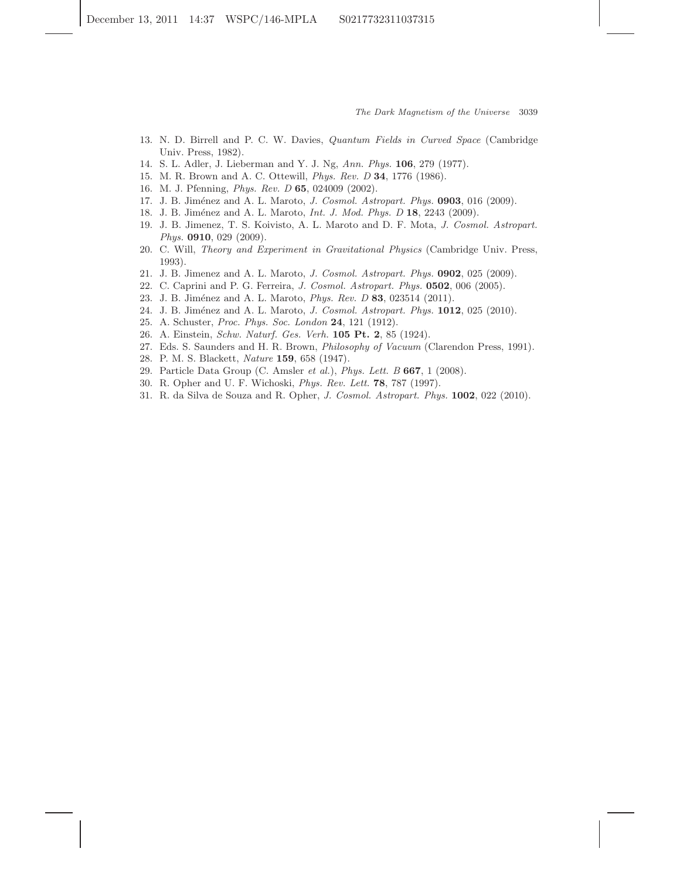- 13. N. D. Birrell and P. C. W. Davies, Quantum Fields in Curved Space (Cambridge Univ. Press, 1982).
- 14. S. L. Adler, J. Lieberman and Y. J. Ng, Ann. Phys. 106, 279 (1977).
- 15. M. R. Brown and A. C. Ottewill, Phys. Rev. D 34, 1776 (1986).
- 16. M. J. Pfenning, Phys. Rev. D 65, 024009 (2002).
- 17. J. B. Jiménez and A. L. Maroto, *J. Cosmol. Astropart. Phys.* **0903**, 016 (2009).
- 18. J. B. Jiménez and A. L. Maroto, *Int. J. Mod. Phys. D* 18, 2243 (2009).
- 19. J. B. Jimenez, T. S. Koivisto, A. L. Maroto and D. F. Mota, J. Cosmol. Astropart. Phys. 0910, 029 (2009).
- 20. C. Will, Theory and Experiment in Gravitational Physics (Cambridge Univ. Press, 1993).
- 21. J. B. Jimenez and A. L. Maroto, J. Cosmol. Astropart. Phys. 0902, 025 (2009).
- 22. C. Caprini and P. G. Ferreira, J. Cosmol. Astropart. Phys. 0502, 006 (2005).
- 23. J. B. Jiménez and A. L. Maroto, *Phys. Rev. D* 83, 023514 (2011).
- 24. J. B. Jiménez and A. L. Maroto, *J. Cosmol. Astropart. Phys.* **1012**, 025 (2010).
- 25. A. Schuster, Proc. Phys. Soc. London 24, 121 (1912).
- 26. A. Einstein, Schw. Naturf. Ges. Verh. 105 Pt. 2, 85 (1924).
- 27. Eds. S. Saunders and H. R. Brown, Philosophy of Vacuum (Clarendon Press, 1991).
- 28. P. M. S. Blackett, Nature 159, 658 (1947).
- 29. Particle Data Group (C. Amsler et al.), Phys. Lett. B  $667$ , 1 (2008).
- 30. R. Opher and U. F. Wichoski, Phys. Rev. Lett. 78, 787 (1997).
- 31. R. da Silva de Souza and R. Opher, J. Cosmol. Astropart. Phys. 1002, 022 (2010).